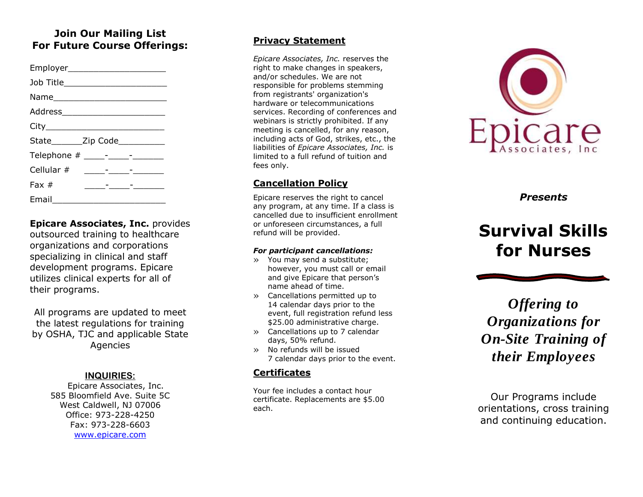## **Join Our Mailing List For Future Course Offerings:**

| Employer_________________________  |                                                                                                                             |  |
|------------------------------------|-----------------------------------------------------------------------------------------------------------------------------|--|
| Job Title_________________________ |                                                                                                                             |  |
|                                    |                                                                                                                             |  |
|                                    |                                                                                                                             |  |
|                                    |                                                                                                                             |  |
| State________Zip Code___________   |                                                                                                                             |  |
|                                    |                                                                                                                             |  |
|                                    |                                                                                                                             |  |
| Fax $#$                            | <u> 1989 - Andrea Station Barbara, amerikan personal personal personal personal personal personal personal personal per</u> |  |
| Email<br>$\sim$                    |                                                                                                                             |  |

**Epicare Associates, Inc.** provides outsourced training to healthcare organizations and corporations specializing in clinical and staff development programs. Epicare utilizes clinical experts for all of their programs.

All programs are updated to meet the latest regulations for training by OSHA, TJC and applicable State Agencies

#### **INQUIRIES :**

Epicare Associates, Inc. 585 Bloomfield Ave. Suite 5C West Caldwell, NJ 07006 Office: 973 -228 -4250 Fax: 973 -228 -6603 [www.epicare.com](http://www.epicare.com/)

#### **Privacy Statement**

*Epicare Associates, Inc.* reserves the right to make changes in speakers, and/or schedules. We are not responsible for problems stemming from registrants' organization's hardware or telecommunications services. Recording of conferences and webinars is strictly prohibited. If any meeting is cancelled, for any reason, including acts of God, strikes, etc., the liabilities of *Epicare Associates, Inc.* is limited to a full refund of tuition and fees only.

### **Cancellation Policy**

Epicare reserves the right to cancel any program, at any time. If a class is cancelled due to insufficient enrollment or unforeseen circumstances, a full refund will be provided.

#### *For participant cancellations:*

- » You may send a substitute; however, you must call or email and give Epicare that person's name ahead of time.
- » Cancellations permitted up to 14 calendar days prior to the event, full registration refund less \$25.00 administrative charge.
- » Cancellations up to 7 calendar days, 50% refund.
- » No refunds will be issued 7 calendar days prior to the event.

### **Certificates**

Your fee includes a contact hour certificate. Replacements are \$5.00 each.



*Presents*

# **Survival Skills for Nurses**

*Offering to Organizations for On -Site Training of their Employees*

Our Programs include orientation s, cross training and continuing education.